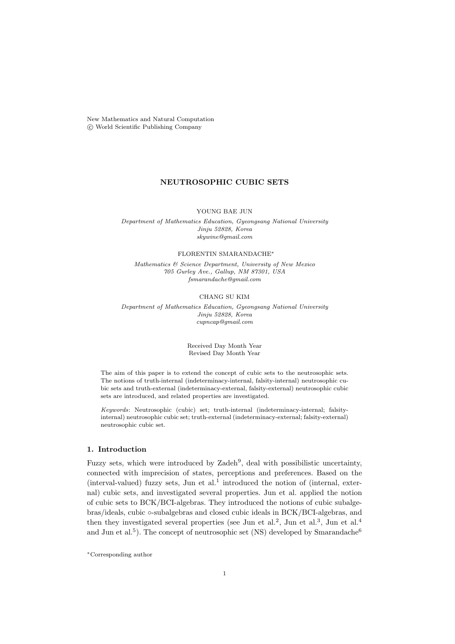New Mathematics and Natural Computation °c World Scientific Publishing Company

# NEUTROSOPHIC CUBIC SETS

YOUNG BAE JUN

Department of Mathematics Education, Gyeongsang National University Jinju 52828, Korea skywine@gmail.com

## FLORENTIN SMARANDACHE<sup>∗</sup>

Mathematics & Science Department, University of New Mexico 705 Gurley Ave., Gallup, NM 87301, USA fsmarandache@gmail.com

### CHANG SU KIM

Department of Mathematics Education, Gyeongsang National University Jinju 52828, Korea cupncap@gmail.com

> Received Day Month Year Revised Day Month Year

The aim of this paper is to extend the concept of cubic sets to the neutrosophic sets. The notions of truth-internal (indeterminacy-internal, falsity-internal) neutrosophic cubic sets and truth-external (indeterminacy-external, falsity-external) neutrosophic cubic sets are introduced, and related properties are investigated.

Keywords: Neutrosophic (cubic) set; truth-internal (indeterminacy-internal; falsityinternal) neutrosophic cubic set; truth-external (indeterminacy-external; falsity-external) neutrosophic cubic set.

# 1. Introduction

Fuzzy sets, which were introduced by Zadeh<sup>9</sup>, deal with possibilistic uncertainty, connected with imprecision of states, perceptions and preferences. Based on the  $(interval-valued)$  fuzzy sets, Jun et al.<sup>1</sup> introduced the notion of  $(internal, external)$ nal) cubic sets, and investigated several properties. Jun et al. applied the notion of cubic sets to BCK/BCI-algebras. They introduced the notions of cubic subalgebras/ideals, cubic ◦-subalgebras and closed cubic ideals in BCK/BCI-algebras, and then they investigated several properties (see Jun et al.<sup>2</sup>, Jun et al.<sup>3</sup>, Jun et al.<sup>4</sup> and Jun et al.<sup>5</sup>). The concept of neutrosophic set (NS) developed by Smarandache<sup>6</sup>

<sup>∗</sup>Corresponding author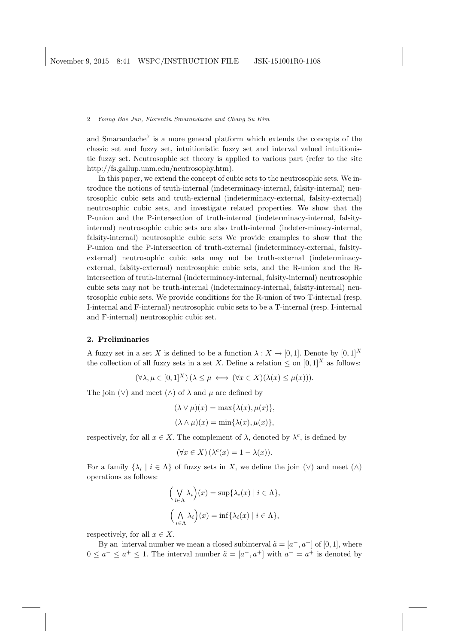and Smarandache<sup>7</sup> is a more general platform which extends the concepts of the classic set and fuzzy set, intuitionistic fuzzy set and interval valued intuitionistic fuzzy set. Neutrosophic set theory is applied to various part (refer to the site http://fs.gallup.unm.edu/neutrosophy.htm).

In this paper, we extend the concept of cubic sets to the neutrosophic sets. We introduce the notions of truth-internal (indeterminacy-internal, falsity-internal) neutrosophic cubic sets and truth-external (indeterminacy-external, falsity-external) neutrosophic cubic sets, and investigate related properties. We show that the P-union and the P-intersection of truth-internal (indeterminacy-internal, falsityinternal) neutrosophic cubic sets are also truth-internal (indeter-minacy-internal, falsity-internal) neutrosophic cubic sets We provide examples to show that the P-union and the P-intersection of truth-external (indeterminacy-external, falsityexternal) neutrosophic cubic sets may not be truth-external (indeterminacyexternal, falsity-external) neutrosophic cubic sets, and the R-union and the Rintersection of truth-internal (indeterminacy-internal, falsity-internal) neutrosophic cubic sets may not be truth-internal (indeterminacy-internal, falsity-internal) neutrosophic cubic sets. We provide conditions for the R-union of two T-internal (resp. I-internal and F-internal) neutrosophic cubic sets to be a T-internal (resp. I-internal and F-internal) neutrosophic cubic set.

#### 2. Preliminaries

A fuzzy set in a set X is defined to be a function  $\lambda : X \to [0,1]$ . Denote by  $[0,1]^X$ the collection of all fuzzy sets in a set X. Define a relation  $\leq$  on  $[0, 1]^{X}$  as follows:

 $(\forall \lambda, \mu \in [0, 1]^X)$   $(\lambda \leq \mu \iff (\forall x \in X)(\lambda(x) \leq \mu(x))).$ 

The join  $(\vee)$  and meet  $(\wedge)$  of  $\lambda$  and  $\mu$  are defined by

$$
(\lambda \vee \mu)(x) = \max{\lambda(x), \mu(x)},
$$
  

$$
(\lambda \wedge \mu)(x) = \min{\lambda(x), \mu(x)},
$$

respectively, for all  $x \in X$ . The complement of  $\lambda$ , denoted by  $\lambda^c$ , is defined by

$$
(\forall x \in X) \, (\lambda^c(x) = 1 - \lambda(x)).
$$

For a family  $\{\lambda_i \mid i \in \Lambda\}$  of fuzzy sets in X, we define the join  $(\vee)$  and meet  $(\wedge)$ operations as follows:

$$
\left(\bigvee_{i\in\Lambda}\lambda_i\right)(x) = \sup\{\lambda_i(x) \mid i \in \Lambda\},\
$$

$$
\left(\bigwedge_{i\in\Lambda}\lambda_i\right)(x) = \inf\{\lambda_i(x) \mid i \in \Lambda\},\
$$

respectively, for all  $x \in X$ .

By an interval number we mean a closed subinterval  $\tilde{a} = [a^-, a^+]$  of [0, 1], where  $0 \leq a^- \leq a^+ \leq 1$ . The interval number  $\tilde{a} = [a^-, a^+]$  with  $a^- = a^+$  is denoted by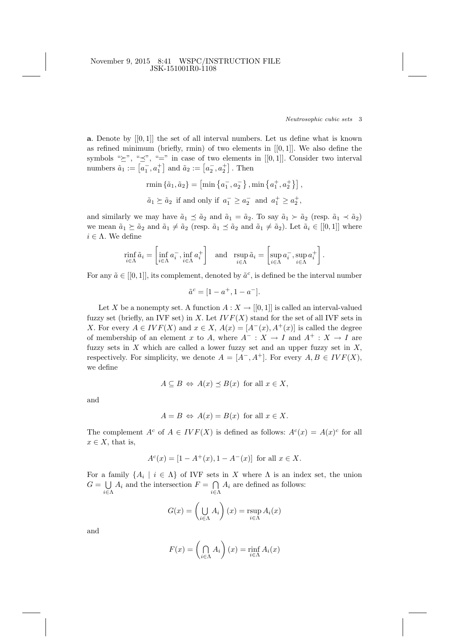**a**. Denote by  $[[0,1]]$  the set of all interval numbers. Let us define what is known as refined minimum (briefly, rmin) of two elements in  $[[0,1]]$ . We also define the symbols " $\geq$ ", " $\preceq$ ", " $\equiv$ " in case of two elements in [[0, 1]]. Consider two interval symbols  $\leq$ ,  $\geq$ ,  $=$  in case of two elements<br>numbers  $\tilde{a}_1 := [\overline{a}_1^-, \overline{a}_1^+]$  and  $\tilde{a}_2 := [\overline{a}_2^-, \overline{a}_2^+]$ . Then

rmin 
$$
\{\tilde{a}_1, \tilde{a}_2\}
$$
 = [min  $\{a_1^-, a_2^-\}$ , min  $\{a_1^+, a_2^+\}$ ],  
 $\tilde{a}_1 \succeq \tilde{a}_2$  if and only if  $a_1^- \ge a_2^-$  and  $a_1^+ \ge a_2^+$ ,

and similarly we may have  $\tilde{a}_1 \preceq \tilde{a}_2$  and  $\tilde{a}_1 = \tilde{a}_2$ . To say  $\tilde{a}_1 \succ \tilde{a}_2$  (resp.  $\tilde{a}_1 \prec \tilde{a}_2$ ) we mean  $\tilde{a}_1 \succeq \tilde{a}_2$  and  $\tilde{a}_1 \neq \tilde{a}_2$  (resp.  $\tilde{a}_1 \preceq \tilde{a}_2$  and  $\tilde{a}_1 \neq \tilde{a}_2$ ). Let  $\tilde{a}_i \in [[0, 1]]$  where  $i \in \Lambda$ . We define

$$
\min_{i \in \Lambda} \tilde{a}_i = \left[ \inf_{i \in \Lambda} a_i^-, \inf_{i \in \Lambda} a_i^+ \right] \quad \text{and} \quad \operatorname{rsup}_{i \in \Lambda} \tilde{a}_i = \left[ \sup_{i \in \Lambda} a_i^-, \sup_{i \in \Lambda} a_i^+ \right].
$$

For any  $\tilde{a} \in [[0,1]],$  its complement, denoted by  $\tilde{a}^c$ , is defined be the interval number

$$
\tilde{a}^c = [1 - a^+, 1 - a^-].
$$

Let X be a nonempty set. A function  $A: X \to [[0,1]]$  is called an interval-valued fuzzy set (briefly, an IVF set) in X. Let  $IVF(X)$  stand for the set of all IVF sets in X. For every  $A \in IVF(X)$  and  $x \in X$ ,  $A(x) = [A^-(x), A^+(x)]$  is called the degree of membership of an element x to A, where  $A^- : X \to I$  and  $A^+ : X \to I$  are fuzzy sets in  $X$  which are called a lower fuzzy set and an upper fuzzy set in  $X$ , respectively. For simplicity, we denote  $A = [A^-, A^+]$ . For every  $A, B \in IVF(X)$ , we define

$$
A \subseteq B \Leftrightarrow A(x) \preceq B(x) \text{ for all } x \in X,
$$

and

$$
A = B \Leftrightarrow A(x) = B(x) \text{ for all } x \in X.
$$

The complement  $A^c$  of  $A \in IVF(X)$  is defined as follows:  $A^c(x) = A(x)^c$  for all  $x \in X$ , that is,

$$
A^{c}(x) = [1 - A^{+}(x), 1 - A^{-}(x)] \text{ for all } x \in X.
$$

For a family  $\{A_i \mid i \in \Lambda\}$  of IVF sets in X where  $\Lambda$  is an index set, the union  $G =$  $\bigcup_{i\in\Lambda} A_i$  and the intersection  $F = \bigcap_{i\in\Lambda} A_i$  are defined as follows:

$$
G(x) = \left(\bigcup_{i \in \Lambda} A_i\right)(x) = \sup_{i \in \Lambda} A_i(x)
$$

and

$$
F(x) = \left(\bigcap_{i \in \Lambda} A_i\right)(x) = \inf_{i \in \Lambda} A_i(x)
$$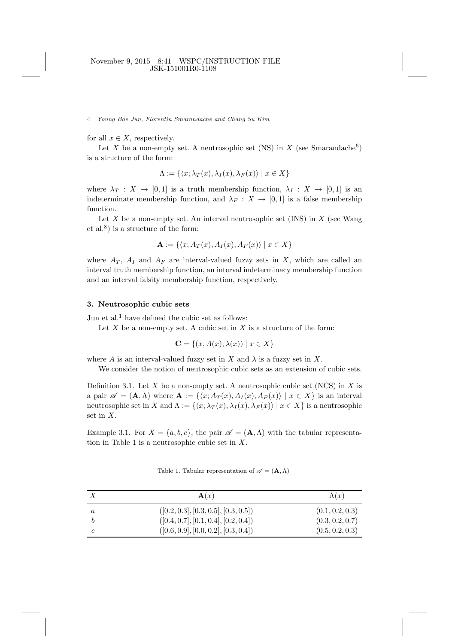for all  $x \in X$ , respectively.

Let X be a non-empty set. A neutrosophic set (NS) in X (see Smarandache<sup>6</sup>) is a structure of the form:

$$
\Lambda := \{ \langle x; \lambda_T(x), \lambda_I(x), \lambda_F(x) \rangle \mid x \in X \}
$$

where  $\lambda_T : X \to [0,1]$  is a truth membership function,  $\lambda_I : X \to [0,1]$  is an indeterminate membership function, and  $\lambda_F : X \to [0,1]$  is a false membership function.

Let  $X$  be a non-empty set. An interval neutrosophic set (INS) in  $X$  (see Wang et al.<sup>8</sup> ) is a structure of the form:

$$
\mathbf{A} := \{ \langle x; A_T(x), A_I(x), A_F(x) \rangle \mid x \in X \}
$$

where  $A_T$ ,  $A_I$  and  $A_F$  are interval-valued fuzzy sets in X, which are called an interval truth membership function, an interval indeterminacy membership function and an interval falsity membership function, respectively.

### 3. Neutrosophic cubic sets

Jun et al.<sup>1</sup> have defined the cubic set as follows:

Let  $X$  be a non-empty set. A cubic set in  $X$  is a structure of the form:

$$
\mathbf{C} = \{(x, A(x), \lambda(x)) \mid x \in X\}
$$

where A is an interval-valued fuzzy set in X and  $\lambda$  is a fuzzy set in X.

We consider the notion of neutrosophic cubic sets as an extension of cubic sets.

Definition 3.1. Let X be a non-empty set. A neutrosophic cubic set (NCS) in X is a pair  $\mathscr{A} = (\mathbf{A}, \Lambda)$  where  $\mathbf{A} := \{ \langle x, A_T (x), A_I (x), A_F (x) \rangle \mid x \in X \}$  is an interval neutrosophic set in X and  $\Lambda := \{\langle x; \lambda_T(x), \lambda_I(x), \lambda_F(x)\rangle | x \in X\}$  is a neutrosophic set in X.

Example 3.1. For  $X = \{a, b, c\}$ , the pair  $\mathscr{A} = (\mathbf{A}, \Lambda)$  with the tabular representation in Table 1 is a neutrosophic cubic set in  $X$ .

Table 1. Tabular representation of  $\mathscr{A} = (\mathbf{A}, \Lambda)$ 

|   | $\mathbf{A}(x)$                      | $\Lambda(x)$    |
|---|--------------------------------------|-----------------|
| a | ([0.2, 0.3], [0.3, 0.5], [0.3, 0.5]) | (0.1, 0.2, 0.3) |
|   | ([0.4, 0.7], [0.1, 0.4], [0.2, 0.4]) | (0.3, 0.2, 0.7) |
|   | ([0.6, 0.9], [0.0, 0.2], [0.3, 0.4]) | (0.5, 0.2, 0.3) |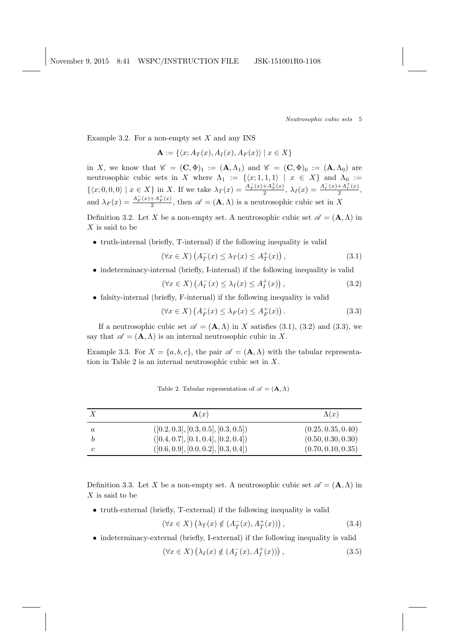Example 3.2. For a non-empty set  $X$  and any INS

 $\mathbf{A} := \{ \langle x; A_T (x), A_I (x), A_F (x) \rangle \mid x \in X \}$ 

in X, we know that  $\mathscr{C} = (\mathbf{C}, \Phi)_1 := (\mathbf{A}, \Lambda_1)$  and  $\mathscr{C} = (\mathbf{C}, \Phi)_0 := (\mathbf{A}, \Lambda_0)$  are neutrosophic cubic sets in X where  $\Lambda_1 := {\{(x; 1, 1, 1) | x \in X\}}$  and  $\Lambda_0 :=$  $\{\langle x, 0, 0, 0\rangle \mid x \in X\}$  in X. If we take  $\lambda_T(x) = \frac{A^T_T(x) + A^T_T(x)}{2}$  $\frac{+A_T^+(x)}{2}, \lambda_I(x) = \frac{A_I^-(x)+A_I^+(x)}{2}$  $\frac{+A_i(x)}{2},$ and  $\lambda_F(x) = \frac{A_F^-(x) + A_F^+(x)}{2}$  $\frac{A+B_F(x)}{2}$ , then  $\mathscr{A} = (\mathbf{A}, \Lambda)$  is a neutrosophic cubic set in X

Definition 3.2. Let X be a non-empty set. A neutrosophic cubic set  $\mathscr{A} = (\mathbf{A}, \Lambda)$  in  $X$  is said to be

• truth-internal (briefly, T-internal) if the following inequality is valid

$$
(\forall x \in X) \left( A_T^-(x) \le \lambda_T(x) \le A_T^+(x) \right), \tag{3.1}
$$

• indeterminacy-internal (briefly, I-internal) if the following inequality is valid

$$
(\forall x \in X) \left( A_I^-(x) \le \lambda_I(x) \le A_I^+(x) \right), \tag{3.2}
$$

• falsity-internal (briefly, F-internal) if the following inequality is valid

$$
(\forall x \in X) \left( A_F^-(x) \le \lambda_F(x) \le A_F^+(x) \right). \tag{3.3}
$$

If a neutrosophic cubic set  $\mathscr{A} = (\mathbf{A}, \Lambda)$  in X satisfies (3.1), (3.2) and (3.3), we say that  $\mathscr{A} = (\mathbf{A}, \Lambda)$  is an internal neutrosophic cubic in X.

Example 3.3. For  $X = \{a, b, c\}$ , the pair  $\mathscr{A} = (\mathbf{A}, \Lambda)$  with the tabular representation in Table 2 is an internal neutrosophic cubic set in X.

|   | $\mathbf{A}(x)$                      | $\Lambda(x)$       |
|---|--------------------------------------|--------------------|
| a | ([0.2, 0.3], [0.3, 0.5], [0.3, 0.5]) | (0.25, 0.35, 0.40) |
|   | ([0.4, 0.7], [0.1, 0.4], [0.2, 0.4]) | (0.50, 0.30, 0.30) |
|   | ([0.6, 0.9], [0.0, 0.2], [0.3, 0.4]) | (0.70, 0.10, 0.35) |

Table 2. Tabular representation of  $\mathscr{A} = (\mathbf{A}, \Lambda)$ 

Definition 3.3. Let X be a non-empty set. A neutrosophic cubic set  $\mathscr{A} = (\mathbf{A}, \Lambda)$  in  $X$  is said to be

• truth-external (briefly, T-external) if the following inequality is valid

$$
(\forall x \in X) \left(\lambda_T(x) \notin (A_T^-(x), A_T^+(x))\right),\tag{3.4}
$$

• indeterminacy-external (briefly, I-external) if the following inequality is valid

$$
(\forall x \in X) \left(\lambda_I(x) \notin (A_I^-(x), A_I^+(x))\right),\tag{3.5}
$$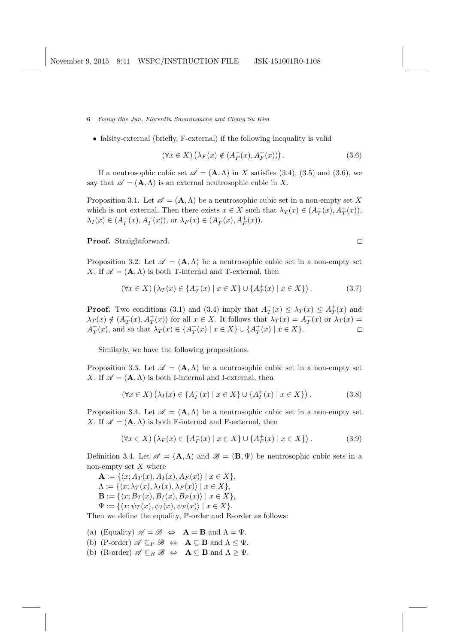- 6 Young Bae Jun, Florentin Smarandache and Chang Su Kim
	- falsity-external (briefly, F-external) if the following inequality is valid

$$
(\forall x \in X) \left(\lambda_F(x) \notin (A_F^-(x), A_F^+(x))\right). \tag{3.6}
$$

 $\Box$ 

If a neutrosophic cubic set  $\mathscr{A} = (\mathbf{A}, \Lambda)$  in X satisfies (3.4), (3.5) and (3.6), we say that  $\mathscr{A} = (\mathbf{A}, \Lambda)$  is an external neutrosophic cubic in X.

Proposition 3.1. Let  $\mathscr{A} = (\mathbf{A}, \Lambda)$  be a neutrosophic cubic set in a non-empty set X which is not external. Then there exists  $x \in X$  such that  $\lambda_T(x) \in (A_T^-(x), A_T^+(x)),$  $\lambda_I(x) \in (A_I^-(x), A_I^+(x)),$  or  $\lambda_F(x) \in (A_F^-(x), A_F^+(x)).$ 

Proof. Straightforward.

Proposition 3.2. Let  $\mathscr{A} = (\mathbf{A}, \Lambda)$  be a neutrosophic cubic set in a non-empty set X. If  $\mathscr{A} = (\mathbf{A}, \Lambda)$  is both T-internal and T-external, then

$$
(\forall x \in X) \left(\lambda_T(x) \in \{A_T^-(x) \mid x \in X\} \cup \{A_T^+(x) \mid x \in X\}\right).
$$
 (3.7)

**Proof.** Two conditions (3.1) and (3.4) imply that  $A_T^-(x) \leq \lambda_T(x) \leq A_T^+(x)$  and  $\lambda_T(x) \notin (A_T^-(x), A_T^+(x))$  for all  $x \in X$ . It follows that  $\lambda_T(x) = A_T^-(x)$  or  $\lambda_T(x) =$  $A_T^+(x)$ , and so that  $\lambda_T(x) \in \{A_T^-(x) \mid x \in X\} \cup \{A_T^+(x) \mid x \in X\}.$  $\Box$ 

Similarly, we have the following propositions.

Proposition 3.3. Let  $\mathscr{A} = (\mathbf{A}, \Lambda)$  be a neutrosophic cubic set in a non-empty set X. If  $\mathscr{A} = (\mathbf{A}, \Lambda)$  is both I-internal and I-external, then

$$
(\forall x \in X) \left(\lambda_I(x) \in \{A_I^-(x) \mid x \in X\} \cup \{A_I^+(x) \mid x \in X\}\right).
$$
 (3.8)

Proposition 3.4. Let  $\mathscr{A} = (\mathbf{A}, \Lambda)$  be a neutrosophic cubic set in a non-empty set X. If  $\mathscr{A} = (\mathbf{A}, \Lambda)$  is both F-internal and F-external, then

$$
(\forall x \in X) \left(\lambda_F(x) \in \{A_F^-(x) \mid x \in X\} \cup \{A_F^+(x) \mid x \in X\}\right).
$$
 (3.9)

Definition 3.4. Let  $\mathscr{A} = (\mathbf{A}, \Lambda)$  and  $\mathscr{B} = (\mathbf{B}, \Psi)$  be neutrosophic cubic sets in a non-empty set  $X$  where

 $\mathbf{A} := \{ \langle x; A_T (x), A_I (x), A_F (x) \rangle \mid x \in X \},\$  $\Lambda := \{ \langle x; \lambda_T (x), \lambda_I (x), \lambda_F (x) \rangle \mid x \in X \},\$  $\mathbf{B} := \{ \langle x; B_T (x), B_I (x), B_F (x) \rangle \mid x \in X \},\$  $\Psi := \{ \langle x; \psi_T (x), \psi_I (x), \psi_F (x) \rangle \mid x \in X \}.$ 

Then we define the equality, P-order and R-order as follows:

- (a) (Equality)  $\mathscr{A} = \mathscr{B} \Leftrightarrow \mathbf{A} = \mathbf{B}$  and  $\Lambda = \Psi$ .
- (b) (P-order)  $\mathscr{A} \subseteq_P \mathscr{B} \Leftrightarrow \mathbf{A} \subseteq \mathbf{B}$  and  $\Lambda \leq \Psi$ .
- (b) (R-order)  $\mathscr{A} \subseteq_R \mathscr{B} \Leftrightarrow \mathbf{A} \subseteq \mathbf{B}$  and  $\Lambda \geq \Psi$ .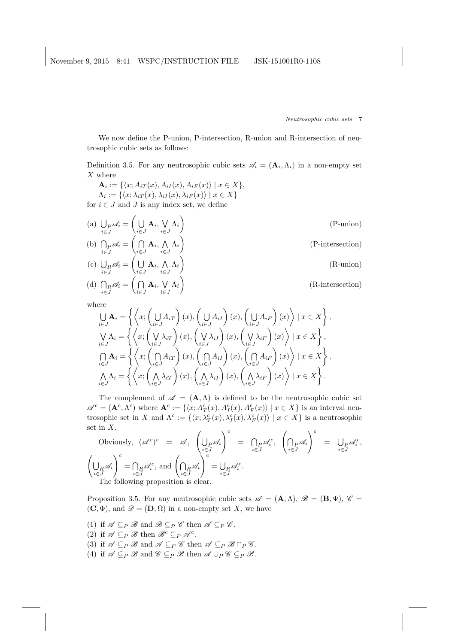We now define the P-union, P-intersection, R-union and R-intersection of neutrosophic cubic sets as follows:

Definition 3.5. For any neutrosophic cubic sets  $\mathscr{A}_i = (\mathbf{A}_i, \Lambda_i)$  in a non-empty set  $X$  where

 $A_i := \{ \langle x; A_{iT}(x), A_{iI}(x), A_{iF}(x) \rangle \mid x \in X \},\$  $\Lambda_i := \{ \langle x; \lambda_{iT}(x), \lambda_{iI}(x), \lambda_{iF}(x) \rangle \mid x \in X \}$ for  $i \in J$  and J is any index set, we define

(a) 
$$
\bigcup_{i \in J} \mathscr{A}_i = \left( \bigcup_{i \in J} \mathbf{A}_i, \bigvee_{i \in J} \Lambda_i \right)
$$
 (P-union)  
\n(b) 
$$
\bigcap_{i \in J} \mathscr{A}_i = \left( \bigcap_{i \in J} \mathbf{A}_i, \bigwedge_{i \in J} \Lambda_i \right)
$$
  
\n(c) 
$$
\bigcup_{i \in J} \mathscr{A}_i = \left( \bigcup_{i \in J} \mathbf{A}_i, \bigwedge_{i \in J} \Lambda_i \right)
$$
 (R-union)

(d) 
$$
\bigcap_{i \in J} \mathscr{A}_i = \bigcap_{i \in J} \mathbf{A}_i, \bigvee_{i \in J} \Lambda_i
$$

(R-intersection)

,

,

where  
\n
$$
\bigcup_{i \in J} \mathbf{A}_{i} = \left\{ \left\langle x; \left( \bigcup_{i \in J} A_{iT} \right) (x), \left( \bigcup_{i \in J} A_{iI} \right) (x), \left( \bigcup_{i \in J} A_{iF} \right) (x) \right\rangle \mid x \in X \right\}
$$
\n
$$
\bigvee_{i \in J} \Lambda_{i} = \left\{ \left\langle x; \left( \bigvee_{i \in J} \lambda_{iT} \right) (x), \left( \bigvee_{i \in J} \lambda_{iI} \right) (x), \left( \bigvee_{i \in J} \lambda_{iF} \right) (x) \right\rangle \mid x \in X \right\},
$$
\n
$$
\bigcap_{i \in J} \mathbf{A}_{i} = \left\{ \left\langle x; \left( \bigcap_{i \in J} A_{iT} \right) (x), \left( \bigcap_{i \in J} A_{iI} \right) (x), \left( \bigcap_{i \in J} A_{iF} \right) (x) \right\rangle \mid x \in X \right\}
$$
\n
$$
\bigwedge_{i \in J} \Lambda_{i} = \left\{ \left\langle x; \left( \bigwedge_{i \in J} \lambda_{iT} \right) (x), \left( \bigwedge_{i \in J} \lambda_{iI} \right) (x), \left( \bigwedge_{i \in J} \lambda_{iF} \right) (x) \right\rangle \mid x \in X \right\}.
$$

The complement of  $\mathscr{A} = (\mathbf{A}, \Lambda)$  is defined to be the neutrosophic cubic set  $\mathscr{A}^c = (\mathbf{A}^c, \Lambda^c)$  where  $\mathbf{A}^c := \{ \langle x, A_T^c(x), A_T^c(x), A_F^c(x) \rangle \mid x \in X \}$  is an interval neutrosophic set in X and  $\Lambda^c := \{ \langle x; \lambda_T^c(x), \lambda_I^c(x), \lambda_F^c(x) \rangle \mid x \in X \}$  is a neutrosophic set in X.  $\overline{a}$  $\sqrt{c}$  $\overline{a}$  $\sqrt{c}$ 

Obviously, 
$$
(\mathscr{A}^c)^c = \mathscr{A}
$$
,  $\left(\bigcup_{\substack{i \in J}} \mathscr{A}_i\right)^c = \bigcap_{i \in J} \mathscr{A}_i^c$ ,  $\left(\bigcap_{i \in J} \mathscr{A}_i\right)^c = \bigcup_{i \in J} \mathscr{A}_i^c$ ,  
 $\left(\bigcup_{\substack{i \in J}} \mathscr{A}_i\right)^c = \bigcap_{i \in J} \mathscr{A}_i^c$ , and  $\left(\bigcap_{i \in J} \mathscr{A}_i\right)^c = \bigcup_{i \in J} \mathscr{A}_i^c$ .  
The following proposition is clear.

Proposition 3.5. For any neutrosophic cubic sets  $\mathscr{A} = (\mathbf{A}, \Lambda), \mathscr{B} = (\mathbf{B}, \Psi), \mathscr{C} =$  $(C, \Phi)$ , and  $\mathscr{D} = (D, \Omega)$  in a non-empty set X, we have

- (1) if  $\mathscr{A} \subseteq_P \mathscr{B}$  and  $\mathscr{B} \subseteq_P \mathscr{C}$  then  $\mathscr{A} \subseteq_P \mathscr{C}$ .
- (2) if  $\mathscr{A} \subseteq_P \mathscr{B}$  then  $\mathscr{B}^c \subseteq_P \mathscr{A}^c$ .
- (3) if  $\mathscr{A} \subseteq_P \mathscr{B}$  and  $\mathscr{A} \subseteq_P \mathscr{C}$  then  $\mathscr{A} \subseteq_P \mathscr{B} \cap_P \mathscr{C}$ .
- (4) if  $\mathscr{A} \subseteq_P \mathscr{B}$  and  $\mathscr{C} \subseteq_P \mathscr{B}$  then  $\mathscr{A} \cup_P \mathscr{C} \subseteq_P \mathscr{B}$ .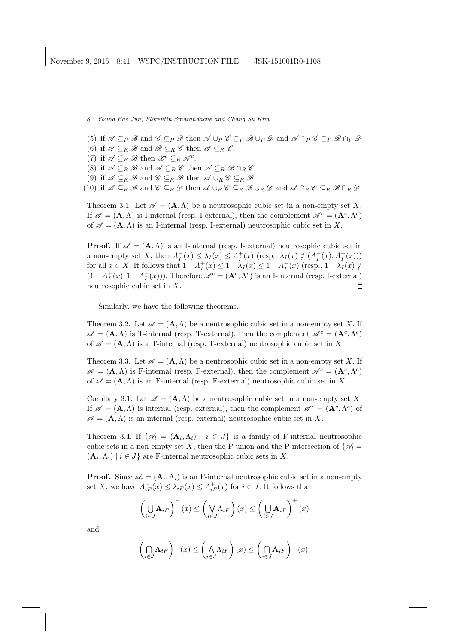- (5) if  $\mathscr A \subseteq_P \mathscr B$  and  $\mathscr C \subseteq_P \mathscr D$  then  $\mathscr A \cup_P \mathscr C \subseteq_P \mathscr B \cup_P \mathscr D$  and  $\mathscr A \cap_P \mathscr C \subseteq_P \mathscr B \cap_P \mathscr D$
- (6) if  $\mathscr{A} \subseteq_R \mathscr{B}$  and  $\mathscr{B} \subseteq_R \mathscr{C}$  then  $\mathscr{A} \subseteq_R \mathscr{C}$ .
- (7) if  $\mathscr{A} \subseteq_R \mathscr{B}$  then  $\mathscr{B}^c \subseteq_R \mathscr{A}^c$ .
- (8) if  $\mathscr{A} \subseteq_R \mathscr{B}$  and  $\mathscr{A} \subseteq_R \mathscr{C}$  then  $\mathscr{A} \subseteq_R \mathscr{B} \cap_R \mathscr{C}$ .
- (9) if  $\mathscr{A} \subseteq_R \mathscr{B}$  and  $\mathscr{C} \subseteq_R \mathscr{B}$  then  $\mathscr{A} \cup_R \mathscr{C} \subseteq_R \mathscr{B}$ .

(10) if  $\mathscr{A} \subseteq_R \mathscr{B}$  and  $\mathscr{C} \subseteq_R \mathscr{D}$  then  $\mathscr{A} \cup_R \mathscr{C} \subseteq_R \mathscr{B} \cup_R \mathscr{D}$  and  $\mathscr{A} \cap_R \mathscr{C} \subseteq_R \mathscr{B} \cap_R \mathscr{D}$ .

Theorem 3.1. Let  $\mathscr{A} = (\mathbf{A}, \Lambda)$  be a neutrosophic cubic set in a non-empty set X. If  $\mathscr{A} = (\mathbf{A}, \Lambda)$  is I-internal (resp. I-external), then the complement  $\mathscr{A}^c = (\mathbf{A}^c, \Lambda^c)$ of  $\mathscr{A} = (\mathbf{A}, \Lambda)$  is an I-internal (resp. I-external) neutrosophic cubic set in X.

**Proof.** If  $\mathscr{A} = (\mathbf{A}, \Lambda)$  is an I-internal (resp. I-external) neutrosophic cubic set in a non-empty set X, then  $A_I^-(x) \leq \lambda_I(x) \leq A_I^+(x)$  (resp.,  $\lambda_I(x) \notin (A_I^-(x), A_I^+(x))$ ) for all  $x \in X$ . It follows that  $1 - A_I^+(x) \leq 1 - \lambda_I(x) \leq 1 - A_I^-(x)$  (resp.,  $1 - \lambda_I(x) \notin$  $(1-A_I^+(x), 1-A_I^-(x)))$ . Therefore  $\mathscr{A}^c = (\mathbf{A}^c, \Lambda^c)$  is an I-internal (resp. I-external) neutrosophic cubic set in X.  $\Box$ 

Similarly, we have the following theorems.

Theorem 3.2. Let  $\mathscr{A} = (\mathbf{A}, \Lambda)$  be a neutrosophic cubic set in a non-empty set X. If  $\mathscr{A} = (\mathbf{A}, \Lambda)$  is T-internal (resp. T-external), then the complement  $\mathscr{A}^c = (\mathbf{A}^c, \Lambda^c)$ of  $\mathscr{A} = (\mathbf{A}, \Lambda)$  is a T-internal (resp. T-external) neutrosophic cubic set in X.

Theorem 3.3. Let  $\mathscr{A} = (\mathbf{A}, \Lambda)$  be a neutrosophic cubic set in a non-empty set X. If  $\mathscr{A} = (\mathbf{A}, \Lambda)$  is F-internal (resp. F-external), then the complement  $\mathscr{A}^c = (\mathbf{A}^c, \Lambda^c)$ of  $\mathscr{A} = (\mathbf{A}, \Lambda)$  is an F-internal (resp. F-external) neutrosophic cubic set in X.

Corollary 3.1. Let  $\mathscr{A} = (\mathbf{A}, \Lambda)$  be a neutrosophic cubic set in a non-empty set X. If  $\mathscr{A} = (\mathbf{A}, \Lambda)$  is internal (resp. external), then the complement  $\mathscr{A}^c = (\mathbf{A}^c, \Lambda^c)$  of  $\mathscr{A} = (\mathbf{A}, \Lambda)$  is an internal (resp. external) neutrosophic cubic set in X.

Theorem 3.4. If  $\{\mathscr{A}_i = (\mathbf{A}_i, \Lambda_i) \mid i \in J\}$  is a family of F-internal neutrosophic cubic sets in a non-empty set X, then the P-union and the P-intersection of  $\{\mathscr{A}_i =$  $(\mathbf{A}_i, \Lambda_i) \mid i \in J$  are F-internal neutrosophic cubic sets in X.

**Proof.** Since  $\mathscr{A}_i = (\mathbf{A}_i, \Lambda_i)$  is an F-internal neutrosophic cubic set in a non-empty set X, we have  $A_{iF}^-(x) \leq \lambda_{iF}(x) \leq A_{iF}^+(x)$  for  $i \in J$ . It follows that

$$
\left(\bigcup_{i\in J} \mathbf{A}_{iF}\right)^{-}(x) \leq \left(\bigvee_{i\in J} \Lambda_{iF}\right)(x) \leq \left(\bigcup_{i\in J} \mathbf{A}_{iF}\right)^{+}(x)
$$

and

$$
\left(\bigcap_{i\in J}\mathbf{A}_{iF}\right)^{-}(x)\leq\left(\bigwedge_{i\in J}\Lambda_{iF}\right)(x)\leq\left(\bigcap_{i\in J}\mathbf{A}_{iF}\right)^{+}(x).
$$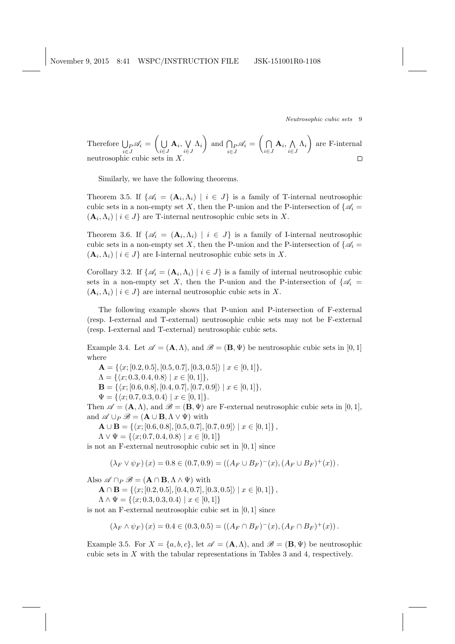Therefore 
$$
\bigcup_{i \in J} \mathscr{A}_i = \left(\bigcup_{i \in J} \mathbf{A}_i, \bigvee_{i \in J} \Lambda_i\right)
$$
 and  $\bigcap_{i \in J} \mathscr{A}_i = \left(\bigcap_{i \in J} \mathbf{A}_i, \bigwedge_{i \in J} \Lambda_i\right)$  are F-internal  
neutrosophic cubic sets in X.

Similarly, we have the following theorems.

Theorem 3.5. If  $\{\mathscr{A}_i = (\mathbf{A}_i, \Lambda_i) \mid i \in J\}$  is a family of T-internal neutrosophic cubic sets in a non-empty set X, then the P-union and the P-intersection of  $\{\mathscr{A}_i =$  $(\mathbf{A}_i, \Lambda_i) \mid i \in J$  are T-internal neutrosophic cubic sets in X.

Theorem 3.6. If  $\{\mathscr{A}_i = (\mathbf{A}_i, \Lambda_i) \mid i \in J\}$  is a family of I-internal neutrosophic cubic sets in a non-empty set X, then the P-union and the P-intersection of  $\{\mathscr{A}_i =$  $(\mathbf{A}_i, \Lambda_i) \mid i \in J$  are I-internal neutrosophic cubic sets in X.

Corollary 3.2. If  $\{\mathscr{A}_i = (\mathbf{A}_i, \Lambda_i) \mid i \in J\}$  is a family of internal neutrosophic cubic sets in a non-empty set X, then the P-union and the P-intersection of  $\{\mathscr{A}_i =$  $(\mathbf{A}_i, \Lambda_i) \mid i \in J$  are internal neutrosophic cubic sets in X.

The following example shows that P-union and P-intersection of F-external (resp. I-external and T-external) neutrosophic cubic sets may not be F-external (resp. I-external and T-external) neutrosophic cubic sets.

Example 3.4. Let  $\mathscr{A} = (\mathbf{A}, \Lambda)$ , and  $\mathscr{B} = (\mathbf{B}, \Psi)$  be neutrosophic cubic sets in [0, 1] where

 $\mathbf{A} = \{ \langle x; [0.2, 0.5], [0.5, 0.7], [0.3, 0.5] \rangle \mid x \in [0, 1] \},\$ 

 $\Lambda = \{ \langle x; 0.3, 0.4, 0.8 \rangle \mid x \in [0, 1] \},\$ 

 $\mathbf{B} = \{ \langle x; [0.6, 0.8], [0.4, 0.7], [0.7, 0.9] \rangle \mid x \in [0, 1] \},\$ 

$$
\Psi = \{ \langle x; 0.7, 0.3, 0.4 \rangle \mid x \in [0, 1] \}.
$$

Then  $\mathscr{A} = (\mathbf{A}, \Lambda)$ , and  $\mathscr{B} = (\mathbf{B}, \Psi)$  are F-external neutrosophic cubic sets in [0, 1], and  $\mathscr{A} \cup_P \mathscr{B} = (\mathbf{A} \cup \mathbf{B}, \Lambda \vee \Psi)$  with

 $\mathbf{A} \cup \mathbf{B} = \{ \langle x; [0.6, 0.8], [0.5, 0.7], [0.7, 0.9] \rangle \mid x \in [0, 1] \},$ 

 $\Lambda \vee \Psi = \{ \langle x; 0.7, 0.4, 0.8 \rangle \mid x \in [0, 1] \}$ 

is not an F-external neutrosophic cubic set in [0, 1] since

$$
(\lambda_F \vee \psi_F)(x) = 0.8 \in (0.7, 0.9) = ((A_F \cup B_F)^{-(x)}, (A_F \cup B_F)^{+(x)}).
$$

Also  $\mathscr{A} \cap P \mathscr{B} = (\mathbf{A} \cap \mathbf{B}, \Lambda \wedge \Psi)$  with

 $\mathbf{A} \cap \mathbf{B} = \{ \langle x; [0.2, 0.5], [0.4, 0.7], [0.3, 0.5] \rangle \mid x \in [0, 1] \},$ 

 $\Lambda \wedge \Psi = \{ \langle x; 0.3, 0.3, 0.4 \rangle \mid x \in [0, 1] \}$ 

is not an F-external neutrosophic cubic set in [0, 1] since

$$
(\lambda_F \wedge \psi_F)(x) = 0.4 \in (0.3, 0.5) = ((A_F \cap B_F)^{-(x)}, (A_F \cap B_F)^{+(x)}).
$$

Example 3.5. For  $X = \{a, b, c\}$ , let  $\mathscr{A} = (\mathbf{A}, \Lambda)$ , and  $\mathscr{B} = (\mathbf{B}, \Psi)$  be neutrosophic cubic sets in X with the tabular representations in Tables 3 and 4, respectively.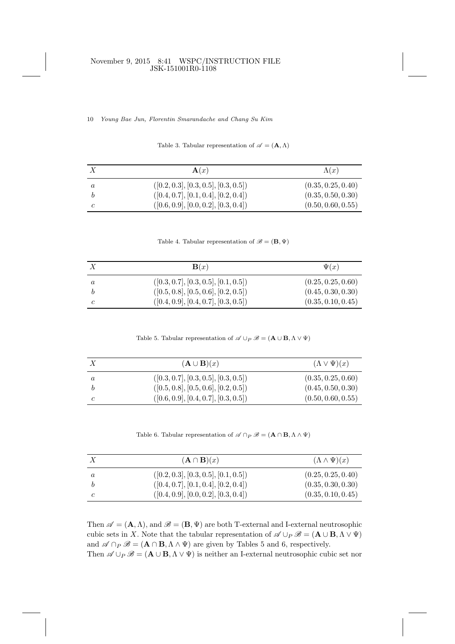## November 9, 2015 8:41 WSPC/INSTRUCTION FILE JSK-151001R0-1108

10 Young Bae Jun, Florentin Smarandache and Chang Su Kim

|  |  | Table 3. Tabular representation of $\mathscr{A} = (\mathbf{A}, \Lambda)$ |  |  |  |  |
|--|--|--------------------------------------------------------------------------|--|--|--|--|
|--|--|--------------------------------------------------------------------------|--|--|--|--|

|   | $\mathbf{A}(x)$                      | $\Lambda(x)$       |
|---|--------------------------------------|--------------------|
| a | ([0.2, 0.3], [0.3, 0.5], [0.3, 0.5]) | (0.35, 0.25, 0.40) |
|   | ([0.4, 0.7], [0.1, 0.4], [0.2, 0.4]) | (0.35, 0.50, 0.30) |
|   | ([0.6, 0.9], [0.0, 0.2], [0.3, 0.4]) | (0.50, 0.60, 0.55) |

Table 4. Tabular representation of  $\mathscr{B} = (\mathbf{B}, \Psi)$ 

| $\mathbf{B}(x)$                      | $\Psi(x)$          |
|--------------------------------------|--------------------|
| ([0.3, 0.7], [0.3, 0.5], [0.1, 0.5]) | (0.25, 0.25, 0.60) |
| ([0.5, 0.8], [0.5, 0.6], [0.2, 0.5]) | (0.45, 0.30, 0.30) |
| ([0.4, 0.9], [0.4, 0.7], [0.3, 0.5]) | (0.35, 0.10, 0.45) |

Table 5. Tabular representation of  $\mathscr{A} \cup_P \mathscr{B} = (\mathbf{A} \cup \mathbf{B}, \Lambda \vee \Psi)$ 

|   | $(\mathbf{A} \cup \mathbf{B})(x)$    | $(\Lambda \vee \Psi)(x)$ |
|---|--------------------------------------|--------------------------|
| a | ([0.3, 0.7], [0.3, 0.5], [0.3, 0.5]) | (0.35, 0.25, 0.60)       |
|   | ([0.5, 0.8], [0.5, 0.6], [0.2, 0.5]) | (0.45, 0.50, 0.30)       |
|   | ([0.6, 0.9], [0.4, 0.7], [0.3, 0.5]) | (0.50, 0.60, 0.55)       |

Table 6. Tabular representation of  $\mathscr{A} \cap P \mathscr{B} = (\mathbf{A} \cap \mathbf{B}, \Lambda \wedge \Psi)$ 

|         | $(\mathbf{A} \cap \mathbf{B})(x)$    | $(\Lambda \wedge \Psi)(x)$ |
|---------|--------------------------------------|----------------------------|
| $\it a$ | ([0.2, 0.3], [0.3, 0.5], [0.1, 0.5]) | (0.25, 0.25, 0.40)         |
|         | ([0.4, 0.7], [0.1, 0.4], [0.2, 0.4]) | (0.35, 0.30, 0.30)         |
|         | ([0.4, 0.9], [0.0, 0.2], [0.3, 0.4]) | (0.35, 0.10, 0.45)         |

Then  $\mathscr{A} = (\mathbf{A}, \Lambda)$ , and  $\mathscr{B} = (\mathbf{B}, \Psi)$  are both T-external and I-external neutrosophic cubic sets in X. Note that the tabular representation of  $\mathscr{A} \cup_P \mathscr{B} = (\mathbf{A} \cup \mathbf{B}, \Lambda \vee \Psi)$ and  $\mathscr{A} \cap_P \mathscr{B} = (\mathbf{A} \cap \mathbf{B}, \Lambda \wedge \Psi)$  are given by Tables 5 and 6, respectively. Then  $\mathscr{A} \cup_P \mathscr{B} = (\mathbf{A} \cup \mathbf{B}, \Lambda \vee \Psi)$  is neither an I-external neutrosophic cubic set nor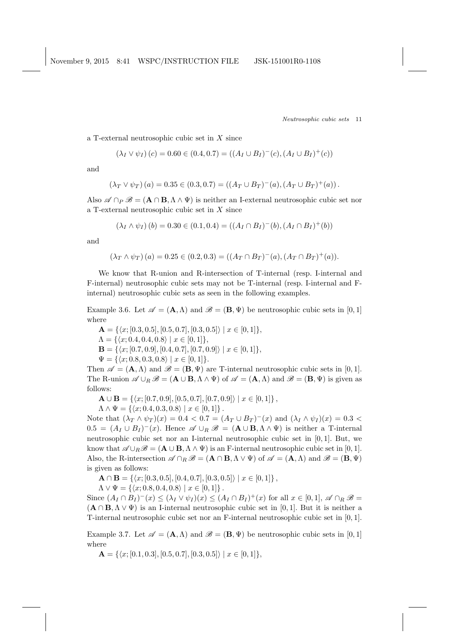a T-external neutrosophic cubic set in X since

$$
(\lambda_I \vee \psi_I)(c) = 0.60 \in (0.4, 0.7) = ((A_I \cup B_I)^{-1}(c), (A_I \cup B_I)^{+}(c))
$$

and

$$
(\lambda_T \vee \psi_T) (a) = 0.35 \in (0.3, 0.7) = ((A_T \cup B_T)^{-(a)}, (A_T \cup B_T)^{+(a))}.
$$

Also  $\mathscr{A} \cap P \mathscr{B} = (\mathbf{A} \cap \mathbf{B}, \Lambda \wedge \Psi)$  is neither an I-external neutrosophic cubic set nor a T-external neutrosophic cubic set in X since

$$
(\lambda_I \wedge \psi_I)(b) = 0.30 \in (0.1, 0.4) = ((A_I \cap B_I)^{-(b)}, (A_I \cap B_I)^{+(b)})
$$

and

$$
(\lambda_T \wedge \psi_T)(a) = 0.25 \in (0.2, 0.3) = ((A_T \cap B_T)^{-(a)}, (A_T \cap B_T)^{+(a)}).
$$

We know that R-union and R-intersection of T-internal (resp. I-internal and F-internal) neutrosophic cubic sets may not be T-internal (resp. I-internal and Finternal) neutrosophic cubic sets as seen in the following examples.

Example 3.6. Let  $\mathscr{A} = (\mathbf{A}, \Lambda)$  and  $\mathscr{B} = (\mathbf{B}, \Psi)$  be neutrosophic cubic sets in [0,1] where

 $\mathbf{A} = \{ \langle x; [0.3, 0.5], [0.5, 0.7], [0.3, 0.5] \rangle \mid x \in [0, 1] \},\$  $\Lambda = \{ \langle x; 0.4, 0.4, 0.8 \rangle \mid x \in [0, 1] \},\$  $\mathbf{B} = \{ \langle x; [0.7, 0.9], [0.4, 0.7], [0.7, 0.9] \rangle \mid x \in [0, 1] \}.$  $\Psi = \{ \langle x; 0.8, 0.3, 0.8 \rangle \mid x \in [0, 1] \}.$ 

Then  $\mathscr{A} = (\mathbf{A}, \Lambda)$  and  $\mathscr{B} = (\mathbf{B}, \Psi)$  are T-internal neutrosophic cubic sets in [0,1]. The R-union  $\mathscr{A} \cup_R \mathscr{B} = (\mathbf{A} \cup \mathbf{B}, \Lambda \wedge \Psi)$  of  $\mathscr{A} = (\mathbf{A}, \Lambda)$  and  $\mathscr{B} = (\mathbf{B}, \Psi)$  is given as follows:

 $\mathbf{A} \cup \mathbf{B} = \{ \langle x; [0.7, 0.9], [0.5, 0.7], [0.7, 0.9] \rangle \mid x \in [0, 1] \},$ 

 $\Lambda \wedge \Psi = \{ \langle x; 0.4, 0.3, 0.8 \rangle \mid x \in [0, 1] \}.$ 

Note that  $(\lambda_T \wedge \psi_T)(x) = 0.4 < 0.7 = (A_T \cup B_T)^{-1}(x)$  and  $(\lambda_I \wedge \psi_I)(x) = 0.3 <$  $0.5 = (A_I \cup B_I)^{-1}(x)$ . Hence  $\mathscr{A} \cup_R \mathscr{B} = (\mathbf{A} \cup \mathbf{B}, \Lambda \wedge \Psi)$  is neither a T-internal neutrosophic cubic set nor an I-internal neutrosophic cubic set in [0, 1]. But, we know that  $\mathscr{A} \cup_R \mathscr{B} = (\mathbf{A} \cup \mathbf{B}, \Lambda \wedge \Psi)$  is an F-internal neutrosophic cubic set in [0, 1]. Also, the R-intersection  $\mathscr{A} \cap_R \mathscr{B} = (\mathbf{A} \cap \mathbf{B}, \Lambda \vee \Psi)$  of  $\mathscr{A} = (\mathbf{A}, \Lambda)$  and  $\mathscr{B} = (\mathbf{B}, \Psi)$ is given as follows:

 $\mathbf{A} \cap \mathbf{B} = \{ \langle x; [0.3, 0.5], [0.4, 0.7], [0.3, 0.5] \rangle \mid x \in [0, 1] \},$ 

 $\Lambda \vee \Psi = \{ \langle x; 0.8, 0.4, 0.8 \rangle \mid x \in [0, 1] \}.$ 

Since  $(A_I \cap B_I)^-(x) \leq (\lambda_I \vee \psi_I)(x) \leq (A_I \cap B_I)^+(x)$  for all  $x \in [0,1], \mathscr{A} \cap_R \mathscr{B} =$  $(A \cap B, \Lambda \vee \Psi)$  is an I-internal neutrosophic cubic set in [0, 1]. But it is neither a T-internal neutrosophic cubic set nor an F-internal neutrosophic cubic set in [0, 1].

Example 3.7. Let  $\mathscr{A} = (\mathbf{A}, \Lambda)$  and  $\mathscr{B} = (\mathbf{B}, \Psi)$  be neutrosophic cubic sets in [0, 1] where

 $\mathbf{A} = \{ \langle x; [0.1, 0.3], [0.5, 0.7], [0.3, 0.5] \rangle \mid x \in [0, 1] \},\$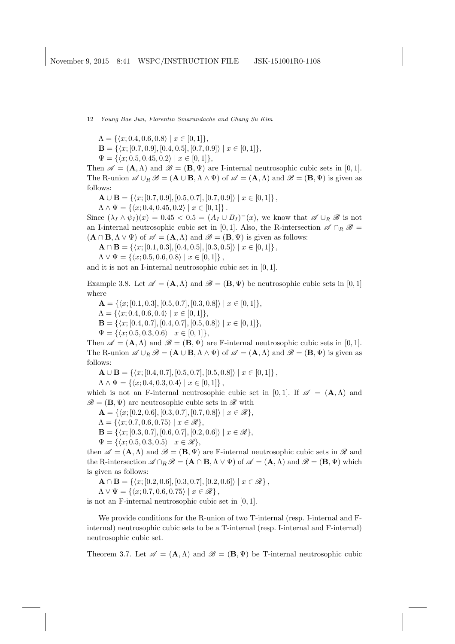$\Lambda = \{ \langle x; 0.4, 0.6, 0.8 \rangle \mid x \in [0, 1] \},\$ 

 $\mathbf{B} = \{ \langle x; [0.7, 0.9], [0.4, 0.5], [0.7, 0.9] \rangle \mid x \in [0, 1] \},\$ 

 $\Psi = \{ \langle x; 0.5, 0.45, 0.2 \rangle \mid x \in [0, 1] \},\$ 

Then  $\mathscr{A} = (\mathbf{A}, \Lambda)$  and  $\mathscr{B} = (\mathbf{B}, \Psi)$  are I-internal neutrosophic cubic sets in [0,1]. The R-union  $\mathscr{A} \cup_R \mathscr{B} = (\mathbf{A} \cup \mathbf{B}, \Lambda \wedge \Psi)$  of  $\mathscr{A} = (\mathbf{A}, \Lambda)$  and  $\mathscr{B} = (\mathbf{B}, \Psi)$  is given as follows:

 $\mathbf{A} \cup \mathbf{B} = \{ \langle x; [0.7, 0.9], [0.5, 0.7], [0.7, 0.9] \rangle \mid x \in [0, 1] \},$ 

 $\Lambda \wedge \Psi = \{ \langle x; 0.4, 0.45, 0.2 \rangle \mid x \in [0, 1] \}.$ 

Since  $(\lambda_I \wedge \psi_I)(x) = 0.45 < 0.5 = (A_I \cup B_I)^{-1}(x)$ , we know that  $\mathscr{A} \cup_R \mathscr{B}$  is not an I-internal neutrosophic cubic set in [0,1]. Also, the R-intersection  $\mathscr{A} \cap_R \mathscr{B} =$  $(A \cap B, \Lambda \vee \Psi)$  of  $\mathscr{A} = (A, \Lambda)$  and  $\mathscr{B} = (B, \Psi)$  is given as follows:

 $\mathbf{A} \cap \mathbf{B} = \{ \langle x; [0.1, 0.3], [0.4, 0.5], [0.3, 0.5] \rangle \mid x \in [0, 1] \},$ 

 $\Lambda \vee \Psi = \{ \langle x; 0.5, 0.6, 0.8 \rangle \mid x \in [0, 1] \},$ 

and it is not an I-internal neutrosophic cubic set in [0, 1].

Example 3.8. Let  $\mathscr{A} = (\mathbf{A}, \Lambda)$  and  $\mathscr{B} = (\mathbf{B}, \Psi)$  be neutrosophic cubic sets in [0, 1] where

 $\mathbf{A} = \{ \langle x; [0.1, 0.3], [0.5, 0.7], [0.3, 0.8] \rangle \mid x \in [0, 1] \},\$  $\Lambda = \{ \langle x; 0.4, 0.6, 0.4 \rangle \mid x \in [0, 1] \},\$  $\mathbf{B} = \{ \langle x; [0.4, 0.7], [0.4, 0.7], [0.5, 0.8] \rangle \mid x \in [0, 1] \},\$  $\Psi = \{ \langle x; 0.5, 0.3, 0.6 \rangle \mid x \in [0, 1] \},\$ 

Then  $\mathscr{A} = (\mathbf{A}, \Lambda)$  and  $\mathscr{B} = (\mathbf{B}, \Psi)$  are F-internal neutrosophic cubic sets in [0,1]. The R-union  $\mathscr{A} \cup_R \mathscr{B} = (\mathbf{A} \cup \mathbf{B}, \Lambda \wedge \Psi)$  of  $\mathscr{A} = (\mathbf{A}, \Lambda)$  and  $\mathscr{B} = (\mathbf{B}, \Psi)$  is given as follows:

 $\mathbf{A} \cup \mathbf{B} = \{ \langle x; [0.4, 0.7], [0.5, 0.7], [0.5, 0.8] \rangle \mid x \in [0, 1] \},$ 

 $\Lambda \wedge \Psi = \{ \langle x; 0.4, 0.3, 0.4 \rangle \mid x \in [0, 1] \},$ 

which is not an F-internal neutrosophic cubic set in [0, 1]. If  $\mathscr{A} = (\mathbf{A}, \Lambda)$  and  $\mathscr{B} = (\mathbf{B}, \Psi)$  are neutrosophic cubic sets in  $\mathscr{R}$  with

 $\mathbf{A} = \{ \langle x; [0.2, 0.6], [0.3, 0.7], [0.7, 0.8] \rangle \mid x \in \mathcal{R} \},\$ 

- $\Lambda = \{ \langle x; 0.7, 0.6, 0.75 \rangle \mid x \in \mathcal{R} \},\$
- $\mathbf{B} = \{ \langle x; [0.3, 0.7], [0.6, 0.7], [0.2, 0.6] \rangle \mid x \in \mathcal{R} \},\$
- $\Psi = \{ \langle x; 0.5, 0.3, 0.5 \rangle \mid x \in \mathcal{R} \},\$

then  $\mathscr{A} = (\mathbf{A}, \Lambda)$  and  $\mathscr{B} = (\mathbf{B}, \Psi)$  are F-internal neutrosophic cubic sets in  $\mathscr{R}$  and the R-intersection  $\mathscr{A} \cap_R \mathscr{B} = (\mathbf{A} \cap \mathbf{B}, \Lambda \vee \Psi)$  of  $\mathscr{A} = (\mathbf{A}, \Lambda)$  and  $\mathscr{B} = (\mathbf{B}, \Psi)$  which is given as follows:

 $\mathbf{A} \cap \mathbf{B} = \{ \langle x; [0.2, 0.6], [0.3, 0.7], [0.2, 0.6] \rangle \mid x \in \mathcal{R} \},\$ 

 $\Lambda \vee \Psi = \{ \langle x; 0.7, 0.6, 0.75 \rangle \mid x \in \mathcal{R} \},$ 

is not an F-internal neutrosophic cubic set in [0, 1].

We provide conditions for the R-union of two T-internal (resp. I-internal and Finternal) neutrosophic cubic sets to be a T-internal (resp. I-internal and F-internal) neutrosophic cubic set.

Theorem 3.7. Let  $\mathscr{A} = (\mathbf{A}, \Lambda)$  and  $\mathscr{B} = (\mathbf{B}, \Psi)$  be T-internal neutrosophic cubic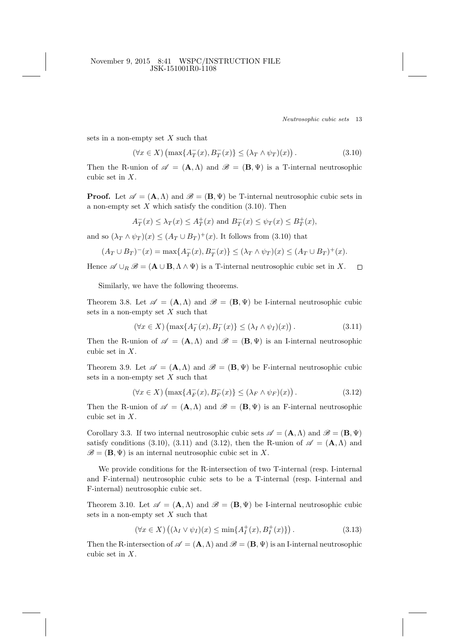November 9, 2015 8:41 WSPC/INSTRUCTION FILE JSK-151001R0-1108

Neutrosophic cubic sets 13

sets in a non-empty set  $X$  such that

$$
(\forall x \in X) \left(\max\{A_T^-(x), B_T^-(x)\}\leq (\lambda_T \wedge \psi_T)(x)\right). \tag{3.10}
$$

Then the R-union of  $\mathscr{A} = (\mathbf{A}, \Lambda)$  and  $\mathscr{B} = (\mathbf{B}, \Psi)$  is a T-internal neutrosophic cubic set in X.

**Proof.** Let  $\mathscr{A} = (\mathbf{A}, \Lambda)$  and  $\mathscr{B} = (\mathbf{B}, \Psi)$  be T-internal neutrosophic cubic sets in a non-empty set  $X$  which satisfy the condition  $(3.10)$ . Then

$$
A_T^-(x)\leq \lambda_T(x)\leq A_T^+(x)\text{ and }B_T^-(x)\leq \psi_T(x)\leq B_T^+(x),
$$

and so  $(\lambda_T \wedge \psi_T)(x) \leq (A_T \cup B_T)^+(x)$ . It follows from (3.10) that

$$
(A_T \cup B_T)^{-}(x) = \max\{A_T^{-}(x), B_T^{-}(x)\} \le (\lambda_T \wedge \psi_T)(x) \le (A_T \cup B_T)^{+}(x).
$$

Hence  $\mathscr{A} \cup_B \mathscr{B} = (\mathbf{A} \cup \mathbf{B}, \Lambda \wedge \Psi)$  is a T-internal neutrosophic cubic set in X.  $\Box$ 

Similarly, we have the following theorems.

Theorem 3.8. Let  $\mathscr{A} = (\mathbf{A}, \Lambda)$  and  $\mathscr{B} = (\mathbf{B}, \Psi)$  be I-internal neutrosophic cubic sets in a non-empty set  $X$  such that

$$
(\forall x \in X) \left( \max \{ A_I^-(x), B_I^-(x) \} \le (\lambda_I \wedge \psi_I)(x) \right). \tag{3.11}
$$

Then the R-union of  $\mathscr{A} = (\mathbf{A}, \Lambda)$  and  $\mathscr{B} = (\mathbf{B}, \Psi)$  is an I-internal neutrosophic cubic set in X.

Theorem 3.9. Let  $\mathscr{A} = (\mathbf{A}, \Lambda)$  and  $\mathscr{B} = (\mathbf{B}, \Psi)$  be F-internal neutrosophic cubic sets in a non-empty set  $X$  such that

$$
(\forall x \in X) \left( \max \{ A_F^-(x), B_F^-(x) \} \le (\lambda_F \wedge \psi_F)(x) \right). \tag{3.12}
$$

Then the R-union of  $\mathscr{A} = (\mathbf{A}, \Lambda)$  and  $\mathscr{B} = (\mathbf{B}, \Psi)$  is an F-internal neutrosophic cubic set in X.

Corollary 3.3. If two internal neutrosophic cubic sets  $\mathscr{A} = (\mathbf{A}, \Lambda)$  and  $\mathscr{B} = (\mathbf{B}, \Psi)$ satisfy conditions (3.10), (3.11) and (3.12), then the R-union of  $\mathscr{A} = (\mathbf{A}, \Lambda)$  and  $\mathscr{B} = (\mathbf{B}, \Psi)$  is an internal neutrosophic cubic set in X.

We provide conditions for the R-intersection of two T-internal (resp. I-internal and F-internal) neutrosophic cubic sets to be a T-internal (resp. I-internal and F-internal) neutrosophic cubic set.

Theorem 3.10. Let  $\mathscr{A} = (\mathbf{A}, \Lambda)$  and  $\mathscr{B} = (\mathbf{B}, \Psi)$  be I-internal neutrosophic cubic sets in a non-empty set  $X$  such that

$$
(\forall x \in X) \left( (\lambda_I \vee \psi_I)(x) \le \min\{A_I^+(x), B_I^+(x)\} \right). \tag{3.13}
$$

Then the R-intersection of  $\mathscr{A} = (\mathbf{A}, \Lambda)$  and  $\mathscr{B} = (\mathbf{B}, \Psi)$  is an I-internal neutrosophic cubic set in X.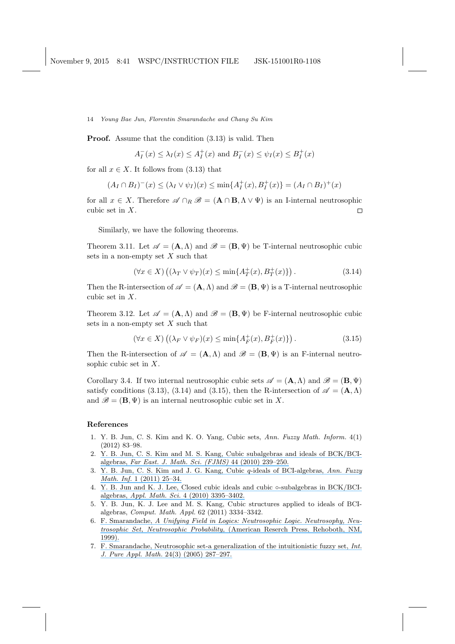Proof. Assume that the condition (3.13) is valid. Then

$$
A_I^-(x) \leq \lambda_I(x) \leq A_I^+(x)
$$
 and  $B_I^-(x) \leq \psi_I(x) \leq B_I^+(x)$ 

for all  $x \in X$ . It follows from (3.13) that

$$
(A_I \cap B_I)^{-}(x) \le (\lambda_I \vee \psi_I)(x) \le \min\{A_I^+(x), B_I^+(x)\} = (A_I \cap B_I)^+(x)
$$

for all  $x \in X$ . Therefore  $\mathscr{A} \cap_R \mathscr{B} = (\mathbf{A} \cap \mathbf{B}, \Lambda \vee \Psi)$  is an I-internal neutrosophic cubic set in X.  $\Box$ 

Similarly, we have the following theorems.

Theorem 3.11. Let  $\mathscr{A} = (\mathbf{A}, \Lambda)$  and  $\mathscr{B} = (\mathbf{B}, \Psi)$  be T-internal neutrosophic cubic sets in a non-empty set  $X$  such that

$$
(\forall x \in X) \left( (\lambda_T \vee \psi_T)(x) \le \min\{A_T^+(x), B_T^+(x)\} \right). \tag{3.14}
$$

Then the R-intersection of  $\mathscr{A} = (\mathbf{A}, \Lambda)$  and  $\mathscr{B} = (\mathbf{B}, \Psi)$  is a T-internal neutrosophic cubic set in X.

Theorem 3.12. Let  $\mathscr{A} = (\mathbf{A}, \Lambda)$  and  $\mathscr{B} = (\mathbf{B}, \Psi)$  be F-internal neutrosophic cubic sets in a non-empty set  $X$  such that

$$
(\forall x \in X) \left( (\lambda_F \vee \psi_F)(x) \le \min\{ A_F^+(x), B_F^+(x) \} \right). \tag{3.15}
$$

Then the R-intersection of  $\mathscr{A} = (\mathbf{A}, \Lambda)$  and  $\mathscr{B} = (\mathbf{B}, \Psi)$  is an F-internal neutrosophic cubic set in X.

Corollary 3.4. If two internal neutrosophic cubic sets  $\mathscr{A} = (\mathbf{A}, \Lambda)$  and  $\mathscr{B} = (\mathbf{B}, \Psi)$ satisfy conditions (3.13), (3.14) and (3.15), then the R-intersection of  $\mathscr{A} = (\mathbf{A}, \Lambda)$ and  $\mathscr{B} = (\mathbf{B}, \Psi)$  is an internal neutrosophic cubic set in X.

# References

- 1. Y. B. Jun, C. S. Kim and K. O. Yang, Cubic sets, Ann. Fuzzy Math. Inform. 4(1) (2012) 83–98.
- 2. [Y. B. Jun, C. S. Kim and M. S. Kang, Cubic subalgebras and ideals of BCK/BCI](https://www.researchgate.net/publication/266007951_Cubic_subalgebras_and_ideals_of_BCKBCI-algebras?el=1_x_8&enrichId=rgreq-f7be2d16-37aa-4360-a24a-f3db8906724f&enrichSource=Y292ZXJQYWdlOzI5NjcwMDE2MjtBUzozMzU3OTQ2NDU1NTMxNTJAMTQ1NzA3MTA5MTAwOQ==)algebras, [Far East. J. Math. Sci. \(FJMS\)](https://www.researchgate.net/publication/266007951_Cubic_subalgebras_and_ideals_of_BCKBCI-algebras?el=1_x_8&enrichId=rgreq-f7be2d16-37aa-4360-a24a-f3db8906724f&enrichSource=Y292ZXJQYWdlOzI5NjcwMDE2MjtBUzozMzU3OTQ2NDU1NTMxNTJAMTQ1NzA3MTA5MTAwOQ==) 44 (2010) 239–250.
- 3. [Y. B. Jun, C. S. Kim and J. G. Kang, Cubic](https://www.researchgate.net/publication/265218052_Cubic_q-ideals_of_BCI-algebras?el=1_x_8&enrichId=rgreq-f7be2d16-37aa-4360-a24a-f3db8906724f&enrichSource=Y292ZXJQYWdlOzI5NjcwMDE2MjtBUzozMzU3OTQ2NDU1NTMxNTJAMTQ1NzA3MTA5MTAwOQ==) q-ideals of BCI-algebras, Ann. Fuzzy Math. Inf. [1 \(2011\) 25–34.](https://www.researchgate.net/publication/265218052_Cubic_q-ideals_of_BCI-algebras?el=1_x_8&enrichId=rgreq-f7be2d16-37aa-4360-a24a-f3db8906724f&enrichSource=Y292ZXJQYWdlOzI5NjcwMDE2MjtBUzozMzU3OTQ2NDU1NTMxNTJAMTQ1NzA3MTA5MTAwOQ==)
- 4. [Y. B. Jun and K. J. Lee, Closed cubic ideals and cubic](https://www.researchgate.net/publication/266573578_Closed_cubic_ideals_and_cubic_-subalgebras_in_BCKBCI-algebras?el=1_x_8&enrichId=rgreq-f7be2d16-37aa-4360-a24a-f3db8906724f&enrichSource=Y292ZXJQYWdlOzI5NjcwMDE2MjtBUzozMzU3OTQ2NDU1NTMxNTJAMTQ1NzA3MTA5MTAwOQ==)  $\circ$ -subalgebras in BCK/BCIalgebras, Appl. Math. Sci. [4 \(2010\) 3395–3402.](https://www.researchgate.net/publication/266573578_Closed_cubic_ideals_and_cubic_-subalgebras_in_BCKBCI-algebras?el=1_x_8&enrichId=rgreq-f7be2d16-37aa-4360-a24a-f3db8906724f&enrichSource=Y292ZXJQYWdlOzI5NjcwMDE2MjtBUzozMzU3OTQ2NDU1NTMxNTJAMTQ1NzA3MTA5MTAwOQ==)
- 5. Y. B. Jun, K. J. Lee and M. S. Kang, Cubic structures applied to ideals of BCIalgebras, Comput. Math. Appl. 62 (2011) 3334–3342.
- 6. F. Smarandache, [A Unifying Field in Logics: Neutrosophic Logic. Neutrosophy, Neu](https://www.researchgate.net/publication/266416576_A_unifying_field_in_logics_Neutrosophic_logic?el=1_x_8&enrichId=rgreq-f7be2d16-37aa-4360-a24a-f3db8906724f&enrichSource=Y292ZXJQYWdlOzI5NjcwMDE2MjtBUzozMzU3OTQ2NDU1NTMxNTJAMTQ1NzA3MTA5MTAwOQ==)trosophic Set, Neutrosophic Probability, [\(American Reserch Press, Rehoboth, NM,](https://www.researchgate.net/publication/266416576_A_unifying_field_in_logics_Neutrosophic_logic?el=1_x_8&enrichId=rgreq-f7be2d16-37aa-4360-a24a-f3db8906724f&enrichSource=Y292ZXJQYWdlOzI5NjcwMDE2MjtBUzozMzU3OTQ2NDU1NTMxNTJAMTQ1NzA3MTA5MTAwOQ==) [1999\).](https://www.researchgate.net/publication/266416576_A_unifying_field_in_logics_Neutrosophic_logic?el=1_x_8&enrichId=rgreq-f7be2d16-37aa-4360-a24a-f3db8906724f&enrichSource=Y292ZXJQYWdlOzI5NjcwMDE2MjtBUzozMzU3OTQ2NDU1NTMxNTJAMTQ1NzA3MTA5MTAwOQ==)
- 7. [F. Smarandache, Neutrosophic set-a generalization of the intuitionistic fuzzy set,](https://www.researchgate.net/publication/221414250_Neutrosophic_Set_--_A_Generalization_of_the_Intuitionistic_Fuzzy_Set?el=1_x_8&enrichId=rgreq-f7be2d16-37aa-4360-a24a-f3db8906724f&enrichSource=Y292ZXJQYWdlOzI5NjcwMDE2MjtBUzozMzU3OTQ2NDU1NTMxNTJAMTQ1NzA3MTA5MTAwOQ==) Int. J. Pure Appl. Math. [24\(3\) \(2005\) 287–297.](https://www.researchgate.net/publication/221414250_Neutrosophic_Set_--_A_Generalization_of_the_Intuitionistic_Fuzzy_Set?el=1_x_8&enrichId=rgreq-f7be2d16-37aa-4360-a24a-f3db8906724f&enrichSource=Y292ZXJQYWdlOzI5NjcwMDE2MjtBUzozMzU3OTQ2NDU1NTMxNTJAMTQ1NzA3MTA5MTAwOQ==)